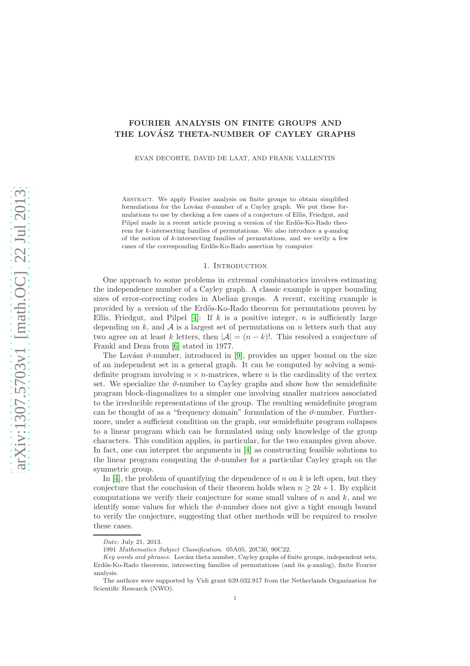# FOURIER ANALYSIS ON FINITE GROUPS AND THE LOVÁSZ THETA-NUMBER OF CAYLEY GRAPHS

EVAN DECORTE, DAVID DE LAAT, AND FRANK VALLENTIN

Abstract. We apply Fourier analysis on finite groups to obtain simplified formulations for the Lovász  $\vartheta$ -number of a Cayley graph. We put these formulations to use by checking a few cases of a conjecture of Ellis, Friedgut, and Pilpel made in a recent article proving a version of the Erdős-Ko-Rado theorem for k-intersecting families of permutations. We also introduce a  $q$ -analog of the notion of k-intersecting families of permutations, and we verify a few cases of the corresponding Erd˝os-Ko-Rado assertion by computer.

#### 1. INTRODUCTION

One approach to some problems in extremal combinatorics involves estimating the independence number of a Cayley graph. A classic example is upper bounding sizes of error-correcting codes in Abelian groups. A recent, exciting example is provided by a version of the Erd˝os-Ko-Rado theorem for permutations proven by Ellis, Friedgut, and Pilpel [\[4\]](#page-8-0): If k is a positive integer, n is sufficiently large depending on  $k$ , and  $\mathcal A$  is a largest set of permutations on n letters such that any two agree on at least k letters, then  $|\mathcal{A}| = (n - k)!$ . This resolved a conjecture of Frankl and Deza from [\[6\]](#page-8-1) stated in 1977.

The Lovász  $\vartheta$ -number, introduced in [\[9\]](#page-8-2), provides an upper bound on the size of an independent set in a general graph. It can be computed by solving a semidefinite program involving  $n \times n$ -matrices, where n is the cardinality of the vertex set. We specialize the  $\vartheta$ -number to Cayley graphs and show how the semidefinite program block-diagonalizes to a simpler one involving smaller matrices associated to the irreducible representations of the group. The resulting semidefinite program can be thought of as a "frequency domain" formulation of the  $\vartheta$ -number. Furthermore, under a sufficient condition on the graph, our semidefinite program collapses to a linear program which can be formulated using only knowledge of the group characters. This condition applies, in particular, for the two examples given above. In fact, one can interpret the arguments in [\[4\]](#page-8-0) as constructing feasible solutions to the linear program computing the  $\vartheta$ -number for a particular Cayley graph on the symmetric group.

In [\[4\]](#page-8-0), the problem of quantifying the dependence of n on k is left open, but they conjecture that the conclusion of their theorem holds when  $n \geq 2k + 1$ . By explicit computations we verify their conjecture for some small values of  $n$  and  $k$ , and we identify some values for which the  $\vartheta$ -number does not give a tight enough bound to verify the conjecture, suggesting that other methods will be required to resolve these cases.

Date: July 21, 2013.

<sup>1991</sup> Mathematics Subject Classification. 05A05, 20C30, 90C22.

Key words and phrases. Lovász theta number, Cayley graphs of finite groups, independent sets, Erdős-Ko-Rado theorems, intersecting families of permutations (and its  $q$ -analog), finite Fourier analysis.

The authors were supported by Vidi grant 639.032.917 from the Netherlands Organization for Scientific Research (NWO).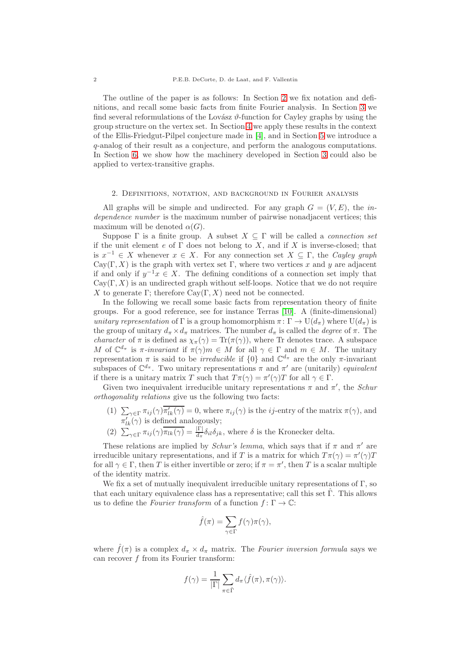The outline of the paper is as follows: In Section [2](#page-1-0) we fix notation and definitions, and recall some basic facts from finite Fourier analysis. In Section [3](#page-3-0) we find several reformulations of the Lovász  $\vartheta$ -function for Cayley graphs by using the group structure on the vertex set. In Section [4](#page-5-0) we apply these results in the context of the Ellis-Friedgut-Pilpel conjecture made in [\[4\]](#page-8-0), and in Section [5](#page-6-0) we introduce a q-analog of their result as a conjecture, and perform the analogous computations. In Section [6,](#page-7-0) we show how the machinery developed in Section [3](#page-3-0) could also be applied to vertex-transitive graphs.

## <span id="page-1-0"></span>2. Definitions, notation, and background in Fourier analysis

All graphs will be simple and undirected. For any graph  $G = (V, E)$ , the independence number is the maximum number of pairwise nonadjacent vertices; this maximum will be denoted  $\alpha(G)$ .

Suppose  $\Gamma$  is a finite group. A subset  $X \subseteq \Gamma$  will be called a *connection set* if the unit element  $e$  of  $\Gamma$  does not belong to  $X$ , and if  $X$  is inverse-closed; that is  $x^{-1} \in X$  whenever  $x \in X$ . For any connection set  $X \subseteq \Gamma$ , the Cayley graph Cay(Γ, X) is the graph with vertex set Γ, where two vertices x and y are adjacent if and only if  $y^{-1}x \in X$ . The defining conditions of a connection set imply that  $Cay(\Gamma, X)$  is an undirected graph without self-loops. Notice that we do not require X to generate Γ; therefore  $Cay(\Gamma, X)$  need not be connected.

In the following we recall some basic facts from representation theory of finite groups. For a good reference, see for instance Terras [\[10\]](#page-8-3). A (finite-dimensional) unitary representation of Γ is a group homomorphism  $\pi: \Gamma \to U(d_{\pi})$  where  $U(d_{\pi})$  is the group of unitary  $d_{\pi} \times d_{\pi}$  matrices. The number  $d_{\pi}$  is called the *degree* of  $\pi$ . The *character* of  $\pi$  is defined as  $\chi_{\pi}(\gamma) = \text{Tr}(\pi(\gamma))$ , where Tr denotes trace. A subspace M of  $\mathbb{C}^{d_{\pi}}$  is  $\pi$ -invariant if  $\pi(\gamma)m \in M$  for all  $\gamma \in \Gamma$  and  $m \in M$ . The unitary representation  $\pi$  is said to be *irreducible* if  $\{0\}$  and  $\mathbb{C}^{d_{\pi}}$  are the only  $\pi$ -invariant subspaces of  $\mathbb{C}^{d_{\pi}}$ . Two unitary representations  $\pi$  and  $\pi'$  are (unitarily) equivalent if there is a unitary matrix T such that  $T\pi(\gamma) = \pi'(\gamma)T$  for all  $\gamma \in \Gamma$ .

Given two inequivalent irreducible unitary representations  $\pi$  and  $\pi'$ , the *Schur* orthogonality relations give us the following two facts:

- (1)  $\sum_{\gamma \in \Gamma} \pi_{ij}(\gamma) \overline{\pi'_{lk}(\gamma)} = 0$ , where  $\pi_{ij}(\gamma)$  is the *ij*-entry of the matrix  $\pi(\gamma)$ , and  $\pi'_{lk}(\gamma)$  is defined analogously;
- (2)  $\sum_{\gamma \in \Gamma} \pi_{ij}(\gamma) \overline{\pi_{lk}(\gamma)} = \frac{|\Gamma|}{d_{\pi}} \delta_{il} \delta_{jk}$ , where  $\delta$  is the Kronecker delta.

These relations are implied by *Schur's lemma*, which says that if  $\pi$  and  $\pi'$  are irreducible unitary representations, and if T is a matrix for which  $T\pi(\gamma) = \pi'(\gamma)T$ for all  $\gamma \in \Gamma$ , then T is either invertible or zero; if  $\pi = \pi'$ , then T is a scalar multiple of the identity matrix.

We fix a set of mutually inequivalent irreducible unitary representations of Γ, so that each unitary equivalence class has a representative; call this set  $\Gamma$ . This allows us to define the Fourier transform of a function  $f: \Gamma \to \mathbb{C}$ :

$$
\hat{f}(\pi) = \sum_{\gamma \in \Gamma} f(\gamma) \pi(\gamma),
$$

where  $\hat{f}(\pi)$  is a complex  $d_{\pi} \times d_{\pi}$  matrix. The Fourier inversion formula says we can recover f from its Fourier transform:

$$
f(\gamma) = \frac{1}{|\Gamma|} \sum_{\pi \in \hat{\Gamma}} d_{\pi} \langle \hat{f}(\pi), \pi(\gamma) \rangle.
$$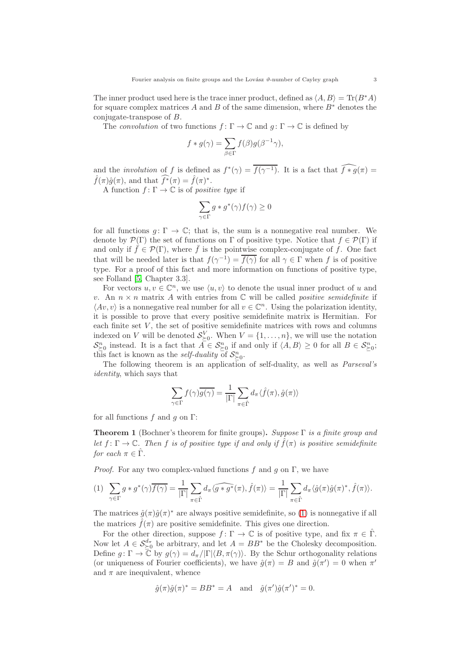The inner product used here is the trace inner product, defined as  $\langle A, B \rangle = \text{Tr}(B^*A)$ for square complex matrices A and B of the same dimension, where  $B^*$  denotes the conjugate-transpose of B.

The convolution of two functions  $f: \Gamma \to \mathbb{C}$  and  $q: \Gamma \to \mathbb{C}$  is defined by

$$
f*g(\gamma)=\sum_{\beta\in\Gamma}f(\beta)g(\beta^{-1}\gamma),
$$

and the *involution* of f is defined as  $f^*(\gamma) = \overline{f(\gamma^{-1})}$ . It is a fact that  $\widehat{f*g}(\pi) =$  $\hat{f}(\pi)\hat{g}(\pi)$ , and that  $\widehat{f^*}(\pi) = \hat{f}(\pi)^*$ .

A function  $f: \Gamma \to \mathbb{C}$  is of positive type if

$$
\sum_{\gamma \in \Gamma} g \ast g^*(\gamma) f(\gamma) \ge 0
$$

for all functions  $q: \Gamma \to \mathbb{C}$ ; that is, the sum is a nonnegative real number. We denote by  $\mathcal{P}(\Gamma)$  the set of functions on  $\Gamma$  of positive type. Notice that  $f \in \mathcal{P}(\Gamma)$  if and only if  $\bar{f} \in \mathcal{P}(\Gamma)$ , where  $\bar{f}$  is the pointwise complex-conjugate of f. One fact that will be needed later is that  $f(\gamma^{-1}) = \overline{f(\gamma)}$  for all  $\gamma \in \Gamma$  when f is of positive type. For a proof of this fact and more information on functions of positive type, see Folland [\[5,](#page-8-4) Chapter 3.3].

For vectors  $u, v \in \mathbb{C}^n$ , we use  $\langle u, v \rangle$  to denote the usual inner product of u and v. An  $n \times n$  matrix A with entries from  $\mathbb C$  will be called *positive semidefinite* if  $\langle Av, v \rangle$  is a nonnegative real number for all  $v \in \mathbb{C}^n$ . Using the polarization identity, it is possible to prove that every positive semidefinite matrix is Hermitian. For each finite set  $V$ , the set of positive semidefinite matrices with rows and columns indexed on V will be denoted  $\mathcal{S}_{\succeq 0}^V$ . When  $V = \{1, \ldots, n\}$ , we will use the notation  $\mathcal{S}_{\geq 0}^n$  instead. It is a fact that  $\overline{A} \in \mathcal{S}_{\geq 0}^n$  if and only if  $\langle A, B \rangle \geq 0$  for all  $B \in \mathcal{S}_{\geq 0}^n$ ; this fact is known as the *self-duality* of  $\mathcal{S}_{\geq 0}^n$ .

The following theorem is an application of self-duality, as well as Parseval's identity, which says that

$$
\sum_{\gamma \in \Gamma} f(\gamma) \overline{g(\gamma)} = \frac{1}{|\Gamma|} \sum_{\pi \in \hat{\Gamma}} d_{\pi} \langle \hat{f}(\pi), \hat{g}(\pi) \rangle
$$

for all functions f and g on  $\Gamma$ :

<span id="page-2-1"></span>**Theorem 1** (Bochner's theorem for finite groups). Suppose  $\Gamma$  is a finite group and let  $f: \Gamma \to \mathbb{C}$ . Then f is of positive type if and only if  $\tilde{f}(\pi)$  is positive semidefinite for each  $\pi \in \hat{\Gamma}$ .

*Proof.* For any two complex-valued functions f and g on  $\Gamma$ , we have

<span id="page-2-0"></span>
$$
(1) \sum_{\gamma \in \Gamma} g * g^*(\gamma) \overline{f(\gamma)} = \frac{1}{|\Gamma|} \sum_{\pi \in \hat{\Gamma}} d_{\pi} \langle \widehat{g * g^*}(\pi), \hat{f}(\pi) \rangle = \frac{1}{|\Gamma|} \sum_{\pi \in \hat{\Gamma}} d_{\pi} \langle \hat{g}(\pi) \hat{g}(\pi)^*, \hat{f}(\pi) \rangle.
$$

The matrices  $\hat{g}(\pi)\hat{g}(\pi)^*$  are always positive semidefinite, so [\(1\)](#page-2-0) is nonnegative if all the matrices  $\hat{f}(\pi)$  are positive semidefinite. This gives one direction.

For the other direction, suppose  $f: \Gamma \to \mathbb{C}$  is of positive type, and fix  $\pi \in \hat{\Gamma}$ . Now let  $A \in \mathcal{S}_{\geq 0}^{d_{\pi}}$  be arbitrary, and let  $A = BB^*$  be the Cholesky decomposition. Define  $g: \Gamma \to \overline{\mathbb{C}}$  by  $g(\gamma) = d_{\pi}/|\Gamma|\langle B, \pi(\gamma)\rangle$ . By the Schur orthogonality relations (or uniqueness of Fourier coefficients), we have  $\hat{g}(\pi) = B$  and  $\hat{g}(\pi') = 0$  when  $\pi'$ and  $\pi$  are inequivalent, whence

$$
\hat{g}(\pi)\hat{g}(\pi)^* = BB^* = A \quad \text{and} \quad \hat{g}(\pi')\hat{g}(\pi')^* = 0.
$$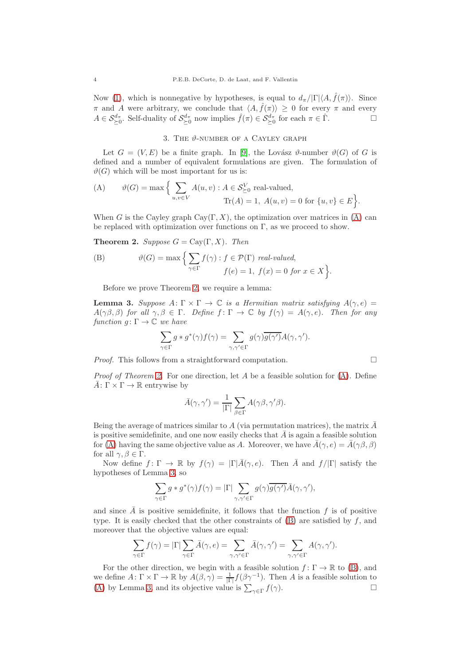Now [\(1\)](#page-2-0), which is nonnegative by hypotheses, is equal to  $d_{\pi}/|\Gamma| \langle A, \hat{f}(\pi) \rangle$ . Since  $\pi$  and A were arbitrary, we conclude that  $\langle A, \hat{f}(\pi) \rangle \geq 0$  for every  $\pi$  and every  $A \in \mathcal{S}_{\geq 0}^{d_{\pi}}$ . Self-duality of  $\mathcal{S}_{\geq 0}^{d_{\pi}}$  now implies  $\hat{f}(\pi) \in \mathcal{S}_{\geq 0}^{d_{\pi}}$  for each  $\pi \in \hat{\Gamma}$ .

## 3. THE  $\vartheta$ -NUMBER OF A CAYLEY GRAPH

<span id="page-3-0"></span>Let  $G = (V, E)$  be a finite graph. In [\[9\]](#page-8-2), the Lovász  $\vartheta$ -number  $\vartheta(G)$  of G is defined and a number of equivalent formulations are given. The formulation of  $\vartheta(G)$  which will be most important for us is:

<span id="page-3-1"></span>(A) 
$$
\vartheta(G) = \max \Big\{ \sum_{u,v \in V} A(u,v) : A \in \mathcal{S}_{\geq 0}^V \text{ real-valued}, \text{Tr}(A) = 1, A(u,v) = 0 \text{ for } \{u,v\} \in E \Big\}.
$$

When G is the Cayley graph  $\text{Cav}(\Gamma, X)$ , the optimization over matrices in [\(A\)](#page-3-1) can be replaced with optimization over functions on  $\Gamma$ , as we proceed to show.

<span id="page-3-2"></span>**Theorem 2.** Suppose  $G = Cay(\Gamma, X)$ . Then

<span id="page-3-4"></span>(B) 
$$
\vartheta(G) = \max \Big\{ \sum_{\gamma \in \Gamma} f(\gamma) : f \in \mathcal{P}(\Gamma) \text{ real-valued,}
$$
  

$$
f(e) = 1, f(x) = 0 \text{ for } x \in X \Big\}.
$$

Before we prove Theorem [2,](#page-3-2) we require a lemma:

<span id="page-3-3"></span>**Lemma 3.** Suppose  $A: \Gamma \times \Gamma \to \mathbb{C}$  is a Hermitian matrix satisfying  $A(\gamma, e) =$  $A(\gamma\beta, \beta)$  for all  $\gamma, \beta \in \Gamma$ . Define  $f \colon \Gamma \to \mathbb{C}$  by  $f(\gamma) = A(\gamma, e)$ . Then for any function  $g: \Gamma \to \mathbb{C}$  we have

$$
\sum_{\gamma \in \Gamma} g * g^*(\gamma) f(\gamma) = \sum_{\gamma, \gamma' \in \Gamma} g(\gamma) \overline{g(\gamma')} A(\gamma, \gamma').
$$

*Proof.* This follows from a straightforward computation.  $\square$ 

Proof of Theorem [2.](#page-3-2) For one direction, let A be a feasible solution for [\(A\)](#page-3-1). Define  $\bar{A}: \Gamma \times \Gamma \to \mathbb{R}$  entrywise by

$$
\bar{A}(\gamma, \gamma') = \frac{1}{|\Gamma|} \sum_{\beta \in \Gamma} A(\gamma \beta, \gamma' \beta).
$$

Being the average of matrices similar to  $A$  (via permutation matrices), the matrix  $A$ is positive semidefinite, and one now easily checks that  $\overline{A}$  is again a feasible solution for [\(A\)](#page-3-1) having the same objective value as A. Moreover, we have  $\bar{A}(\gamma, e) = \bar{A}(\gamma \beta, \beta)$ for all  $\gamma, \beta \in \Gamma$ .

Now define  $f: \Gamma \to \mathbb{R}$  by  $f(\gamma) = |\Gamma| \overline{A}(\gamma, e)$ . Then  $\overline{A}$  and  $f/|\Gamma|$  satisfy the hypotheses of Lemma [3,](#page-3-3) so

$$
\sum_{\gamma \in \Gamma} g \ast g^*(\gamma) f(\gamma) = |\Gamma| \sum_{\gamma, \gamma' \in \Gamma} g(\gamma) \overline{g(\gamma')} \bar{A}(\gamma, \gamma'),
$$

and since  $\overline{A}$  is positive semidefinite, it follows that the function f is of positive type. It is easily checked that the other constraints of  $(B)$  are satisfied by  $f$ , and moreover that the objective values are equal:

$$
\sum_{\gamma \in \Gamma} f(\gamma) = |\Gamma| \sum_{\gamma \in \Gamma} \bar{A}(\gamma,e) = \sum_{\gamma,\gamma' \in \Gamma} \bar{A}(\gamma,\gamma') = \sum_{\gamma,\gamma' \in \Gamma} A(\gamma,\gamma').
$$

For the other direction, we begin with a feasible solution  $f: \Gamma \to \mathbb{R}$  to [\(B\)](#page-3-4), and we define  $A: \Gamma \times \Gamma \to \mathbb{R}$  by  $A(\beta, \gamma) = \frac{1}{|\Gamma|} f(\beta \gamma^{-1})$ . Then A is a feasible solution to [\(A\)](#page-3-1) by Lemma [3,](#page-3-3) and its objective value is  $\sum_{\gamma \in \Gamma}$  $f(\gamma)$ .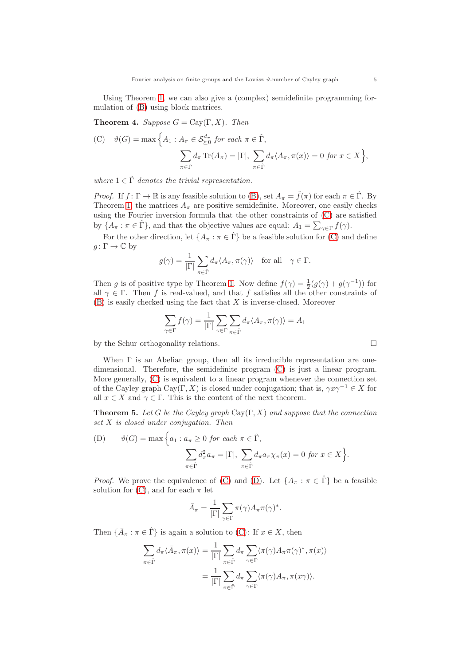Using Theorem [1,](#page-2-1) we can also give a (complex) semidefinite programming formulation of [\(B\)](#page-3-4) using block matrices.

**Theorem 4.** Suppose  $G = Cay(\Gamma, X)$ . Then

<span id="page-4-0"></span>(C) 
$$
\vartheta(G) = \max \Big\{ A_1 : A_\pi \in \mathcal{S}_{\geq 0}^{d_\pi} \text{ for each } \pi \in \hat{\Gamma},
$$
  

$$
\sum_{\pi \in \hat{\Gamma}} d_\pi \operatorname{Tr}(A_\pi) = |\Gamma|, \sum_{\pi \in \hat{\Gamma}} d_\pi \langle A_\pi, \pi(x) \rangle = 0 \text{ for } x \in X \Big\},
$$

where  $1 \in \hat{\Gamma}$  denotes the trivial representation.

*Proof.* If  $f: \Gamma \to \mathbb{R}$  is any feasible solution to [\(B\)](#page-3-4), set  $A_{\pi} = \hat{f}(\pi)$  for each  $\pi \in \hat{\Gamma}$ . By Theorem [1,](#page-2-1) the matrices  $A_{\pi}$  are positive semidefinite. Moreover, one easily checks using the Fourier inversion formula that the other constraints of [\(C\)](#page-4-0) are satisfied by  $\{A_{\pi} : \pi \in \hat{\Gamma}\}\$ , and that the objective values are equal:  $A_1 = \sum_{\gamma \in \Gamma} f(\gamma)$ .

For the other direction, let  $\{A_{\pi} : \pi \in \hat{\Gamma}\}\$  be a feasible solution for [\(C\)](#page-4-0) and define  $g \colon \Gamma \to \mathbb{C}$  by

$$
g(\gamma) = \frac{1}{|\Gamma|} \sum_{\pi \in \hat{\Gamma}} d_{\pi} \langle A_{\pi}, \pi(\gamma) \rangle \quad \text{for all} \quad \gamma \in \Gamma.
$$

Then g is of positive type by Theorem [1.](#page-2-1) Now define  $f(\gamma) = \frac{1}{2}(g(\gamma) + g(\gamma^{-1}))$  for all  $\gamma \in \Gamma$ . Then f is real-valued, and that f satisfies all the other constraints of  $(B)$  is easily checked using the fact that X is inverse-closed. Moreover

$$
\sum_{\gamma \in \Gamma} f(\gamma) = \frac{1}{|\Gamma|} \sum_{\gamma \in \Gamma} \sum_{\pi \in \hat{\Gamma}} d_{\pi} \langle A_{\pi}, \pi(\gamma) \rangle = A_1
$$

by the Schur orthogonality relations.

When  $\Gamma$  is an Abelian group, then all its irreducible representation are onedimensional. Therefore, the semidefinite program [\(C\)](#page-4-0) is just a linear program. More generally, [\(C\)](#page-4-0) is equivalent to a linear program whenever the connection set of the Cayley graph Cay(Γ, X) is closed under conjugation; that is,  $\gamma x \gamma^{-1} \in X$  for all  $x \in X$  and  $\gamma \in \Gamma$ . This is the content of the next theorem.

<span id="page-4-2"></span>**Theorem 5.** Let G be the Cayley graph Cay $(\Gamma, X)$  and suppose that the connection set X is closed under conjugation. Then

<span id="page-4-1"></span>(D) 
$$
\vartheta(G) = \max \Big\{ a_1 : a_{\pi} \ge 0 \text{ for each } \pi \in \hat{\Gamma},
$$
  

$$
\sum_{\pi \in \hat{\Gamma}} d_{\pi}^2 a_{\pi} = |\Gamma|, \sum_{\pi \in \hat{\Gamma}} d_{\pi} a_{\pi} \chi_{\pi}(x) = 0 \text{ for } x \in X \Big\}.
$$

*Proof.* We prove the equivalence of [\(C\)](#page-4-0) and [\(D\)](#page-4-1). Let  $\{A_\pi : \pi \in \hat{\Gamma}\}\)$  be a feasible solution for [\(C\)](#page-4-0), and for each  $\pi$  let

$$
\bar{A}_{\pi} = \frac{1}{|\Gamma|} \sum_{\gamma \in \Gamma} \pi(\gamma) A_{\pi} \pi(\gamma)^*.
$$

Then  $\{\overline{A}_{\pi} : \pi \in \widehat{\Gamma}\}\$ is again a solution to [\(C\)](#page-4-0): If  $x \in X$ , then

$$
\sum_{\pi \in \hat{\Gamma}} d_{\pi} \langle \bar{A}_{\pi}, \pi(x) \rangle = \frac{1}{|\Gamma|} \sum_{\pi \in \hat{\Gamma}} d_{\pi} \sum_{\gamma \in \Gamma} \langle \pi(\gamma) A_{\pi} \pi(\gamma)^{*}, \pi(x) \rangle \n= \frac{1}{|\Gamma|} \sum_{\pi \in \hat{\Gamma}} d_{\pi} \sum_{\gamma \in \Gamma} \langle \pi(\gamma) A_{\pi}, \pi(x_{\gamma}) \rangle.
$$

$$
\qquad \qquad \Box
$$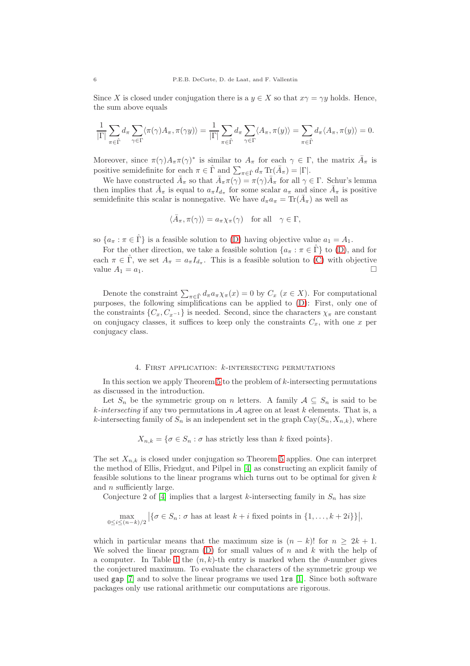Since X is closed under conjugation there is a  $y \in X$  so that  $x\gamma = \gamma y$  holds. Hence, the sum above equals

$$
\frac{1}{|\Gamma|} \sum_{\pi \in \hat{\Gamma}} d_{\pi} \sum_{\gamma \in \Gamma} \langle \pi(\gamma) A_{\pi}, \pi(\gamma y) \rangle = \frac{1}{|\Gamma|} \sum_{\pi \in \hat{\Gamma}} d_{\pi} \sum_{\gamma \in \Gamma} \langle A_{\pi}, \pi(y) \rangle = \sum_{\pi \in \hat{\Gamma}} d_{\pi} \langle A_{\pi}, \pi(y) \rangle = 0.
$$

Moreover, since  $\pi(\gamma)A_{\pi}\pi(\gamma)^*$  is similar to  $A_{\pi}$  for each  $\gamma \in \Gamma$ , the matrix  $\bar{A}_{\pi}$  is positive semidefinite for each  $\pi \in \hat{\Gamma}$  and  $\sum_{\pi \in \hat{\Gamma}} d_{\pi} \operatorname{Tr}(\bar{A}_{\pi}) = |\Gamma|$ .

We have constructed  $\bar{A}_{\pi}$  so that  $\bar{A}_{\pi}(\gamma) = \pi(\gamma)\bar{A}_{\pi}$  for all  $\gamma \in \Gamma$ . Schur's lemma then implies that  $\bar{A}_{\pi}$  is equal to  $a_{\pi} I_{d_{\pi}}$  for some scalar  $a_{\pi}$  and since  $\bar{A}_{\pi}$  is positive semidefinite this scalar is nonnegative. We have  $d_{\pi} a_{\pi} = \text{Tr}(\bar{A}_{\pi})$  as well as

$$
\langle \bar{A}_{\pi}, \pi(\gamma) \rangle = a_{\pi} \chi_{\pi}(\gamma) \quad \text{for all} \quad \gamma \in \Gamma,
$$

so  $\{a_{\pi} : \pi \in \hat{\Gamma}\}\$ is a feasible solution to [\(D\)](#page-4-1) having objective value  $a_1 = A_1$ .

For the other direction, we take a feasible solution  $\{a_{\pi} : \pi \in \hat{\Gamma}\}\)$  to [\(D\)](#page-4-1), and for each  $\pi \in \hat{\Gamma}$ , we set  $A_{\pi} = a_{\pi} I_{d_{\pi}}$ . This is a feasible solution to [\(C\)](#page-4-0) with objective value  $A_1 = a_1$ .

Denote the constraint  $\sum_{\pi \in \hat{\Gamma}} d_{\pi} a_{\pi} \chi_{\pi}(x) = 0$  by  $C_x$   $(x \in X)$ . For computational purposes, the following simplifications can be applied to [\(D\)](#page-4-1): First, only one of the constraints  $\{C_x, C_{x^{-1}}\}$  is needed. Second, since the characters  $\chi_{\pi}$  are constant on conjugacy classes, it suffices to keep only the constraints  $C_x$ , with one x per conjugacy class.

### 4. First application: k-intersecting permutations

<span id="page-5-0"></span>In this section we apply Theorem [5](#page-4-2) to the problem of  $k$ -intersecting permutations as discussed in the introduction.

Let  $S_n$  be the symmetric group on n letters. A family  $A \subseteq S_n$  is said to be  $k\text{-}intersecting$  if any two permutations in  $A$  agree on at least k elements. That is, a k-intersecting family of  $S_n$  is an independent set in the graph  $\text{Cay}(S_n, X_{n,k})$ , where

 $X_{n,k} = \{ \sigma \in S_n : \sigma \text{ has strictly less than } k \text{ fixed points} \}.$ 

The set  $X_{n,k}$  is closed under conjugation so Theorem [5](#page-4-2) applies. One can interpret the method of Ellis, Friedgut, and Pilpel in [\[4\]](#page-8-0) as constructing an explicit family of feasible solutions to the linear programs which turns out to be optimal for given  $k$ and n sufficiently large.

Conjecture 2 of [\[4\]](#page-8-0) implies that a largest k-intersecting family in  $S_n$  has size

$$
\max_{0 \le i \le (n-k)/2} |\{\sigma \in S_n : \sigma \text{ has at least } k+i \text{ fixed points in } \{1, ..., k+2i\}\}|,
$$

which in particular means that the maximum size is  $(n - k)!$  for  $n > 2k + 1$ . We solved the linear program [\(D\)](#page-4-1) for small values of n and k with the help of a computer. In Table 1 the  $(n, k)$ -th entry is marked when the  $\vartheta$ -number gives the conjectured maximum. To evaluate the characters of the symmetric group we used gap [\[7\]](#page-8-5) and to solve the linear programs we used lrs [\[1\]](#page-7-1). Since both software packages only use rational arithmetic our computations are rigorous.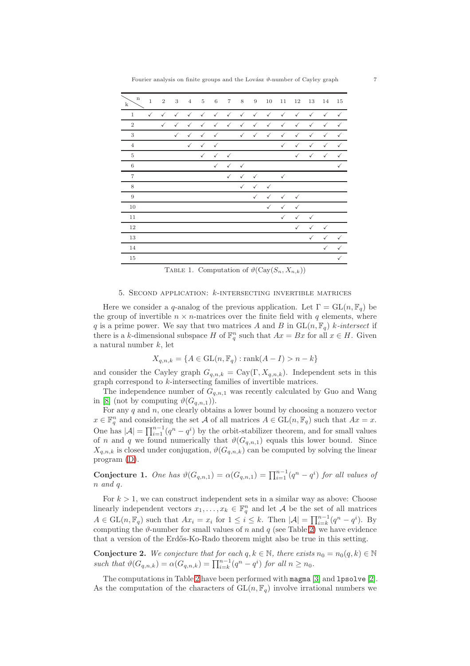| $\mathbf n$<br>$\mathbf k$ | $\,1\,$      | $\,2$        | 3            | $\overline{4}$ | $\overline{5}$ | $\,6\,$      | $\,7$        | 8            | $\,9$        | 10           | $11\,$       | 12           | 13           | 14           | 15           |
|----------------------------|--------------|--------------|--------------|----------------|----------------|--------------|--------------|--------------|--------------|--------------|--------------|--------------|--------------|--------------|--------------|
| $\mathbf{1}$               | $\checkmark$ | $\checkmark$ | $\checkmark$ | $\checkmark$   | $\checkmark$   | $\checkmark$ | $\checkmark$ | $\checkmark$ | $\checkmark$ | $\checkmark$ | $\checkmark$ | $\checkmark$ | $\checkmark$ | $\checkmark$ | $\checkmark$ |
| $\overline{2}$             |              | $\checkmark$ | $\checkmark$ | $\checkmark$   | $\checkmark$   | $\checkmark$ | $\checkmark$ | $\checkmark$ | $\checkmark$ | $\checkmark$ | $\checkmark$ | $\checkmark$ | $\checkmark$ | $\checkmark$ | $\checkmark$ |
| 3                          |              |              | $\checkmark$ | $\checkmark$   | $\checkmark$   | $\checkmark$ |              | $\checkmark$ | $\checkmark$ | $\checkmark$ | $\checkmark$ | $\checkmark$ | ✓            | $\checkmark$ | $\checkmark$ |
| $\overline{4}$             |              |              |              | $\checkmark$   | $\checkmark$   | $\checkmark$ |              |              |              |              | $\checkmark$ | $\checkmark$ | $\checkmark$ | $\checkmark$ | ✓            |
| $\overline{5}$             |              |              |              |                | $\checkmark$   | $\checkmark$ | $\checkmark$ |              |              |              |              | $\checkmark$ | $\checkmark$ | $\checkmark$ | $\checkmark$ |
| 6                          |              |              |              |                |                | $\checkmark$ | $\checkmark$ | $\checkmark$ |              |              |              |              |              |              | $\checkmark$ |
| $\overline{7}$             |              |              |              |                |                |              | $\checkmark$ | $\checkmark$ | $\checkmark$ |              | $\checkmark$ |              |              |              |              |
| 8                          |              |              |              |                |                |              |              | $\checkmark$ | $\checkmark$ | $\checkmark$ |              |              |              |              |              |
| 9                          |              |              |              |                |                |              |              |              | $\checkmark$ | $\checkmark$ | $\checkmark$ | $\checkmark$ |              |              |              |
| 10                         |              |              |              |                |                |              |              |              |              | $\checkmark$ | $\checkmark$ | $\checkmark$ |              |              |              |
| 11                         |              |              |              |                |                |              |              |              |              |              | $\checkmark$ | $\checkmark$ | $\checkmark$ |              |              |
| 12                         |              |              |              |                |                |              |              |              |              |              |              | $\checkmark$ | $\checkmark$ | $\checkmark$ |              |
| 13                         |              |              |              |                |                |              |              |              |              |              |              |              | $\checkmark$ | $\checkmark$ | ✓            |
| 14                         |              |              |              |                |                |              |              |              |              |              |              |              |              | $\checkmark$ | $\checkmark$ |
| 15                         |              |              |              |                |                |              |              |              |              |              |              |              |              |              | ✓            |

TABLE 1. Computation of  $\vartheta$ (Cay(S<sub>n</sub>, X<sub>n,k</sub>))

## 5. Second application: k-intersecting invertible matrices

<span id="page-6-0"></span>Here we consider a q-analog of the previous application. Let  $\Gamma = GL(n, \mathbb{F}_q)$  be the group of invertible  $n \times n$ -matrices over the finite field with q elements, where q is a prime power. We say that two matrices A and B in  $GL(n, \mathbb{F}_q)$  k-intersect if there is a k-dimensional subspace H of  $\mathbb{F}_q^n$  such that  $Ax = Bx$  for all  $x \in H$ . Given a natural number k, let

$$
X_{q,n,k} = \{ A \in \mathrm{GL}(n, \mathbb{F}_q) : \mathrm{rank}(A - I) > n - k \}
$$

and consider the Cayley graph  $G_{q,n,k} = \text{Cay}(\Gamma, X_{q,n,k})$ . Independent sets in this graph correspond to k-intersecting families of invertible matrices.

The independence number of  $G_{q,n,1}$  was recently calculated by Guo and Wang in [\[8\]](#page-8-6) (not by computing  $\vartheta(G_{q,n,1})$ ).

For any  $q$  and  $n$ , one clearly obtains a lower bound by choosing a nonzero vector  $x \in \mathbb{F}_q^n$  and considering the set A of all matrices  $A \in GL(n, \mathbb{F}_q)$  such that  $Ax = x$ . One has  $|\mathcal{A}| = \prod_{i=1}^{n-1} (q^n - q^i)$  by the orbit-stabilizer theorem, and for small values of n and q we found numerically that  $\vartheta(G_{q,n,1})$  equals this lower bound. Since  $X_{q,n,k}$  is closed under conjugation,  $\vartheta(G_{q,n,k})$  can be computed by solving the linear program [\(D\)](#page-4-1).

Conjecture 1. One has  $\vartheta(G_{q,n,1}) = \alpha(G_{q,n,1}) = \prod_{i=1}^{n-1} (q^n - q^i)$  for all values of n and q.

For  $k > 1$ , we can construct independent sets in a similar way as above: Choose linearly independent vectors  $x_1, \ldots, x_k \in \mathbb{F}_q^n$  and let A be the set of all matrices  $A \in GL(n, \mathbb{F}_q)$  such that  $Ax_i = x_i$  for  $1 \leq i \leq k$ . Then  $|\mathcal{A}| = \prod_{i=k}^{n-1} (q^n - q^i)$ . By computing the  $\vartheta$ -number for small values of n and q (see Table 2) we have evidence that a version of the Erdős-Ko-Rado theorem might also be true in this setting.

**Conjecture 2.** We conjecture that for each  $q, k \in \mathbb{N}$ , there exists  $n_0 = n_0(q, k) \in \mathbb{N}$ such that  $\vartheta(G_{q,n,k}) = \alpha(G_{q,n,k}) = \prod_{i=k}^{n-1} (q^n - q^i)$  for all  $n \ge n_0$ .

The computations in Table 2 have been performed with magma [\[3\]](#page-8-7) and lpsolve [\[2\]](#page-7-2). As the computation of the characters of  $GL(n, \mathbb{F}_q)$  involve irrational numbers we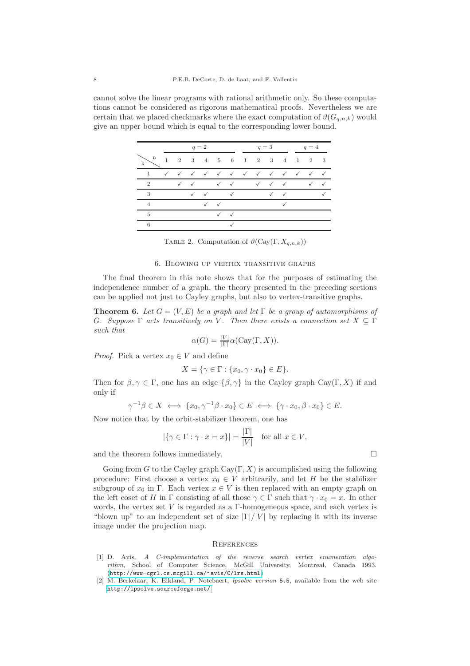cannot solve the linear programs with rational arithmetic only. So these computations cannot be considered as rigorous mathematical proofs. Nevertheless we are certain that we placed checkmarks where the exact computation of  $\vartheta(G_{q,n,k})$  would give an upper bound which is equal to the corresponding lower bound.

|                            | $q=2$ |  |              |              |              |                                                                                                     |  | $q=3$ |              | $q=4$ |  |  |  |
|----------------------------|-------|--|--------------|--------------|--------------|-----------------------------------------------------------------------------------------------------|--|-------|--------------|-------|--|--|--|
| $\mathbf n$<br>$\mathbf k$ |       |  |              |              |              | $1 \quad 2 \quad 3 \quad 4 \quad 5 \quad 6 \quad 1 \quad 2 \quad 3 \quad 4 \quad 1 \quad 2 \quad 3$ |  |       |              |       |  |  |  |
|                            |       |  |              |              |              | V V V V V V V V V V V V                                                                             |  |       |              |       |  |  |  |
| <sup>2</sup>               |       |  |              |              |              | √ √ √ √ √ √ √ √ √                                                                                   |  |       |              |       |  |  |  |
| - 3                        |       |  | $\checkmark$ | $\checkmark$ | $\sqrt{2}$   |                                                                                                     |  |       | $\checkmark$ |       |  |  |  |
| $\overline{4}$             |       |  |              |              | $\checkmark$ |                                                                                                     |  |       |              |       |  |  |  |
| 5                          |       |  |              |              |              | $\checkmark$                                                                                        |  |       |              |       |  |  |  |
| 6                          |       |  |              |              |              |                                                                                                     |  |       |              |       |  |  |  |

TABLE 2. Computation of  $\vartheta$ (Cay(Γ,  $X_{q,n,k}$ ))

## 6. Blowing up vertex transitive graphs

<span id="page-7-0"></span>The final theorem in this note shows that for the purposes of estimating the independence number of a graph, the theory presented in the preceding sections can be applied not just to Cayley graphs, but also to vertex-transitive graphs.

**Theorem 6.** Let  $G = (V, E)$  be a graph and let  $\Gamma$  be a group of automorphisms of G. Suppose  $\Gamma$  acts transitively on V. Then there exists a connection set  $X \subseteq \Gamma$ such that

$$
\alpha(G) = \frac{|V|}{|\Gamma|} \alpha(\text{Cay}(\Gamma, X)).
$$

*Proof.* Pick a vertex  $x_0 \in V$  and define

$$
X = \{ \gamma \in \Gamma : \{ x_0, \gamma \cdot x_0 \} \in E \}.
$$

Then for  $\beta, \gamma \in \Gamma$ , one has an edge  $\{\beta, \gamma\}$  in the Cayley graph Cay(Γ, X) if and only if

$$
\gamma^{-1}\beta \in X \iff \{x_0, \gamma^{-1}\beta \cdot x_0\} \in E \iff \{\gamma \cdot x_0, \beta \cdot x_0\} \in E.
$$

Now notice that by the orbit-stabilizer theorem, one has

$$
|\{\gamma \in \Gamma : \gamma \cdot x = x\}| = \frac{|\Gamma|}{|V|}
$$
 for all  $x \in V$ ,

and the theorem follows immediately.

Going from G to the Cayley graph  $\text{Cay}(\Gamma, X)$  is accomplished using the following procedure: First choose a vertex  $x_0 \in V$  arbitrarily, and let H be the stabilizer subgroup of  $x_0$  in Γ. Each vertex  $x \in V$  is then replaced with an empty graph on the left coset of H in  $\Gamma$  consisting of all those  $\gamma \in \Gamma$  such that  $\gamma \cdot x_0 = x$ . In other words, the vertex set V is regarded as a  $\Gamma$ -homogeneous space, and each vertex is "blown up" to an independent set of size  $|\Gamma|/|\nu|$  by replacing it with its inverse image under the projection map.

#### **REFERENCES**

- <span id="page-7-1"></span>[1] D. Avis, A C-implementation of the reverse search vertex enumeration algorithm, School of Computer Science, McGill University, Montreal, Canada 1993. (<http://www-cgrl.cs.mcgill.ca/~avis/C/lrs.html>)
- <span id="page-7-2"></span>[2] M. Berkelaar, K. Eikland, P. Notebaert, lpsolve version 5.5, available from the web site <http://lpsolve.sourceforge.net/>

$$
\sqcup
$$